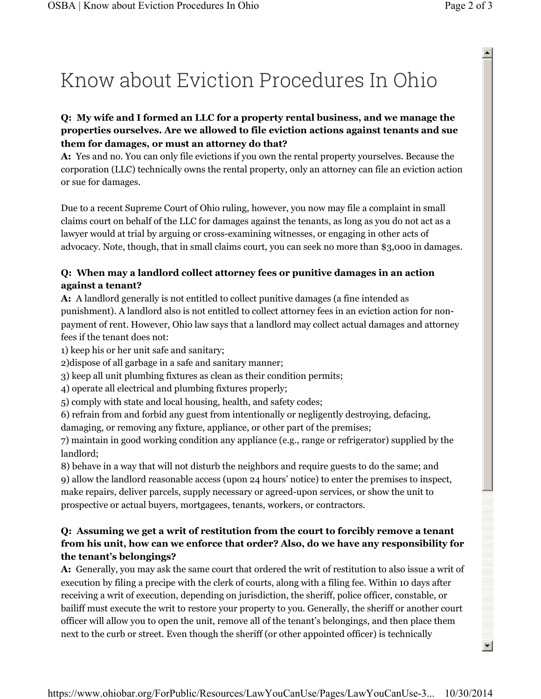# Know about Eviction Procedures In Ohio

### **Q: My wife and I formed an LLC for a property rental business, and we manage the properties ourselves. Are we allowed to file eviction actions against tenants and sue them for damages, or must an attorney do that?**

**A:** Yes and no. You can only file evictions if you own the rental property yourselves. Because the corporation (LLC) technically owns the rental property, only an attorney can file an eviction action or sue for damages.

Due to a recent Supreme Court of Ohio ruling, however, you now may file a complaint in small claims court on behalf of the LLC for damages against the tenants, as long as you do not act as a lawyer would at trial by arguing or cross-examining witnesses, or engaging in other acts of advocacy. Note, though, that in small claims court, you can seek no more than \$3,000 in damages.

## **Q: When may a landlord collect attorney fees or punitive damages in an action against a tenant?**

**A:** A landlord generally is not entitled to collect punitive damages (a fine intended as punishment). A landlord also is not entitled to collect attorney fees in an eviction action for nonpayment of rent. However, Ohio law says that a landlord may collect actual damages and attorney fees if the tenant does not:

1) keep his or her unit safe and sanitary;

2)dispose of all garbage in a safe and sanitary manner;

3) keep all unit plumbing fixtures as clean as their condition permits;

4) operate all electrical and plumbing fixtures properly;

5) comply with state and local housing, health, and safety codes;

6) refrain from and forbid any guest from intentionally or negligently destroying, defacing, damaging, or removing any fixture, appliance, or other part of the premises;

7) maintain in good working condition any appliance (e.g., range or refrigerator) supplied by the landlord;

8) behave in a way that will not disturb the neighbors and require guests to do the same; and 9) allow the landlord reasonable access (upon 24 hours' notice) to enter the premises to inspect, make repairs, deliver parcels, supply necessary or agreed-upon services, or show the unit to prospective or actual buyers, mortgagees, tenants, workers, or contractors.

## **Q: Assuming we get a writ of restitution from the court to forcibly remove a tenant from his unit, how can we enforce that order? Also, do we have any responsibility for the tenant's belongings?**

**A:** Generally, you may ask the same court that ordered the writ of restitution to also issue a writ of execution by filing a precipe with the clerk of courts, along with a filing fee. Within 10 days after receiving a writ of execution, depending on jurisdiction, the sheriff, police officer, constable, or bailiff must execute the writ to restore your property to you. Generally, the sheriff or another court officer will allow you to open the unit, remove all of the tenant's belongings, and then place them next to the curb or street. Even though the sheriff (or other appointed officer) is technically

 $\blacktriangle$